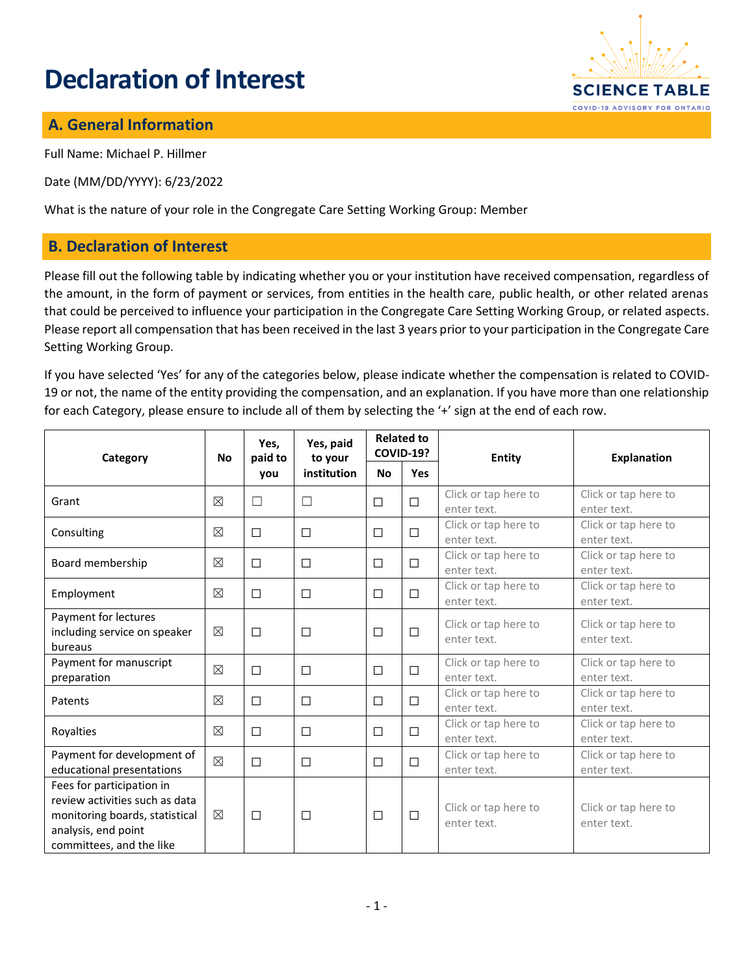# **Declaration of Interest**



## **A. General Information**

Full Name: Michael P. Hillmer

Date (MM/DD/YYYY): 6/23/2022

What is the nature of your role in the Congregate Care Setting Working Group: Member

#### **B. Declaration of Interest**

Please fill out the following table by indicating whether you or your institution have received compensation, regardless of the amount, in the form of payment or services, from entities in the health care, public health, or other related arenas that could be perceived to influence your participation in the Congregate Care Setting Working Group, or related aspects. Please report all compensation that has been received in the last 3 years prior to your participation in the Congregate Care Setting Working Group.

If you have selected 'Yes' for any of the categories below, please indicate whether the compensation is related to COVID-19 or not, the name of the entity providing the compensation, and an explanation. If you have more than one relationship for each Category, please ensure to include all of them by selecting the '+' sign at the end of each row.

| Category                                                                                                                                         | <b>No</b>   | Yes,<br>paid to<br>you | Yes, paid<br>to your<br>institution | <b>Related to</b><br><b>COVID-19?</b> |            | Entity                              | <b>Explanation</b>                  |
|--------------------------------------------------------------------------------------------------------------------------------------------------|-------------|------------------------|-------------------------------------|---------------------------------------|------------|-------------------------------------|-------------------------------------|
|                                                                                                                                                  |             |                        |                                     | <b>No</b>                             | <b>Yes</b> |                                     |                                     |
| Grant                                                                                                                                            | $\boxtimes$ | $\Box$                 | П                                   | $\Box$                                | $\Box$     | Click or tap here to<br>enter text. | Click or tap here to<br>enter text. |
| Consulting                                                                                                                                       | ⊠           | $\Box$                 | $\Box$                              | $\Box$                                | $\Box$     | Click or tap here to<br>enter text. | Click or tap here to<br>enter text. |
| Board membership                                                                                                                                 | $\boxtimes$ | □                      | $\Box$                              | $\Box$                                | $\Box$     | Click or tap here to<br>enter text. | Click or tap here to<br>enter text. |
| Employment                                                                                                                                       | $\boxtimes$ | $\Box$                 | $\Box$                              | $\Box$                                | $\Box$     | Click or tap here to<br>enter text. | Click or tap here to<br>enter text. |
| Payment for lectures<br>including service on speaker<br>bureaus                                                                                  | $\boxtimes$ | $\Box$                 | $\Box$                              | $\Box$                                | $\Box$     | Click or tap here to<br>enter text. | Click or tap here to<br>enter text. |
| Payment for manuscript<br>preparation                                                                                                            | $\boxtimes$ | □                      | $\Box$                              | $\Box$                                | $\Box$     | Click or tap here to<br>enter text. | Click or tap here to<br>enter text. |
| Patents                                                                                                                                          | $\boxtimes$ | $\Box$                 | $\Box$                              | $\Box$                                | $\Box$     | Click or tap here to<br>enter text. | Click or tap here to<br>enter text. |
| Royalties                                                                                                                                        | ⊠           | $\Box$                 | $\Box$                              | $\Box$                                | $\Box$     | Click or tap here to<br>enter text. | Click or tap here to<br>enter text. |
| Payment for development of<br>educational presentations                                                                                          | $\boxtimes$ | □                      | $\Box$                              | $\Box$                                | $\Box$     | Click or tap here to<br>enter text. | Click or tap here to<br>enter text. |
| Fees for participation in<br>review activities such as data<br>monitoring boards, statistical<br>analysis, end point<br>committees, and the like | $\boxtimes$ | $\Box$                 | $\Box$                              | $\Box$                                | $\Box$     | Click or tap here to<br>enter text. | Click or tap here to<br>enter text. |